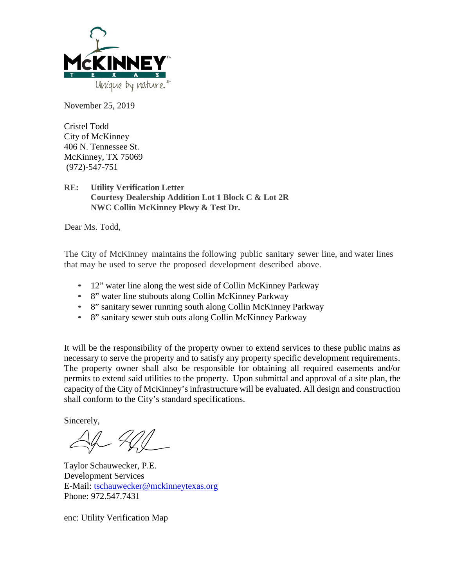

November 25, 2019

Cristel Todd City of McKinney 406 N. Tennessee St. McKinney, TX 75069 (972)-547-751

## **RE: Utility Verification Letter Courtesy Dealership Addition Lot 1 Block C & Lot 2R NWC Collin McKinney Pkwy & Test Dr.**

Dear Ms. Todd,

The City of McKinney maintains the following public sanitary sewer line, and water lines that may be used to serve the proposed development described above.

- 12" water line along the west side of Collin McKinney Parkway
- 8" water line stubouts along Collin McKinney Parkway
- 8" sanitary sewer running south along Collin McKinney Parkway
- 8" sanitary sewer stub outs along Collin McKinney Parkway

It will be the responsibility of the property owner to extend services to these public mains as necessary to serve the property and to satisfy any property specific development requirements. The property owner shall also be responsible for obtaining all required easements and/or permits to extend said utilities to the property. Upon submittal and approval of a site plan, the capacity of the City of McKinney's infrastructure will be evaluated. All design and construction shall conform to the City's standard specifications.

Sincerely,

Taylor Schauwecker, P.E. Development Services E-Mail: [tschauwecker@mckinneytexas.org](mailto:tschauwecker@mckinneytexas.org) Phone: 972.547.7431

enc: Utility Verification Map